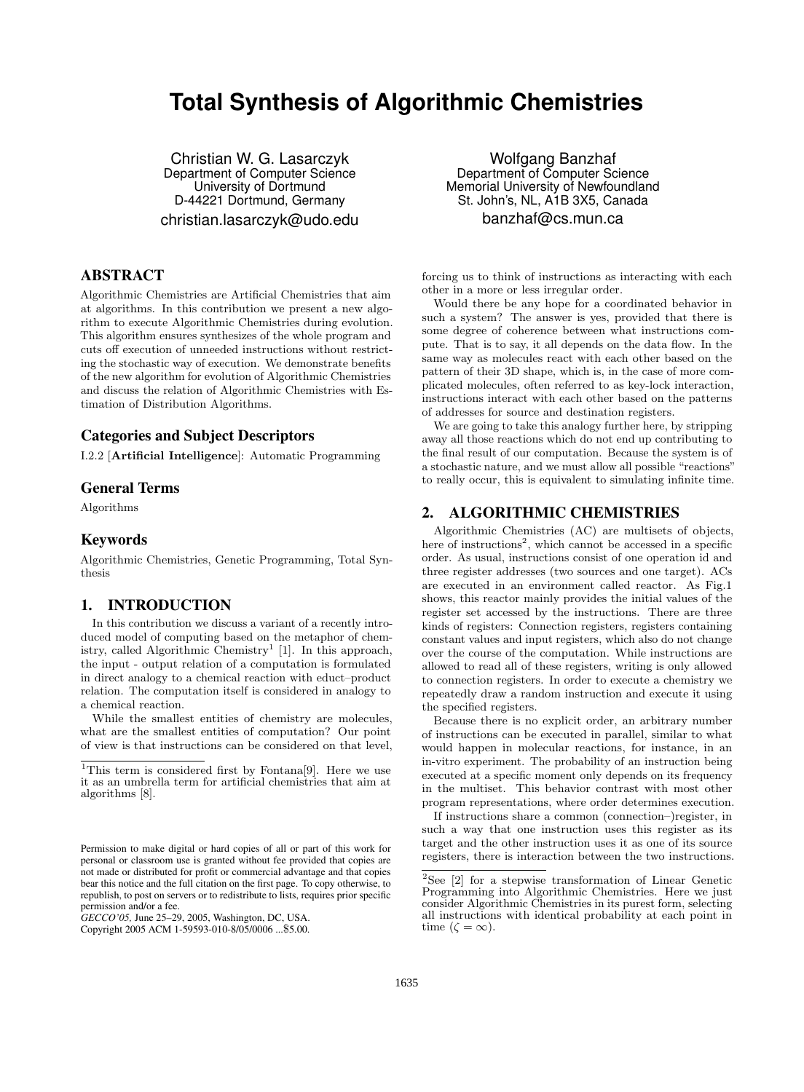# **Total Synthesis of Algorithmic Chemistries**

Christian W. G. Lasarczyk Department of Computer Science University of Dortmund D-44221 Dortmund, Germany christian.lasarczyk@udo.edu

## ABSTRACT

Algorithmic Chemistries are Artificial Chemistries that aim at algorithms. In this contribution we present a new algorithm to execute Algorithmic Chemistries during evolution. This algorithm ensures synthesizes of the whole program and cuts off execution of unneeded instructions without restricting the stochastic way of execution. We demonstrate benefits of the new algorithm for evolution of Algorithmic Chemistries and discuss the relation of Algorithmic Chemistries with Estimation of Distribution Algorithms.

### Categories and Subject Descriptors

I.2.2 [Artificial Intelligence]: Automatic Programming

### General Terms

Algorithms

### Keywords

Algorithmic Chemistries, Genetic Programming, Total Synthesis

### 1. INTRODUCTION

In this contribution we discuss a variant of a recently introduced model of computing based on the metaphor of chemistry, called Algorithmic Chemistry<sup>1</sup> [1]. In this approach, the input - output relation of a computation is formulated in direct analogy to a chemical reaction with educt–product relation. The computation itself is considered in analogy to a chemical reaction.

While the smallest entities of chemistry are molecules, what are the smallest entities of computation? Our point of view is that instructions can be considered on that level,

Wolfgang Banzhaf Department of Computer Science Memorial University of Newfoundland St. John's, NL, A1B 3X5, Canada banzhaf@cs.mun.ca

forcing us to think of instructions as interacting with each other in a more or less irregular order.

Would there be any hope for a coordinated behavior in such a system? The answer is yes, provided that there is some degree of coherence between what instructions compute. That is to say, it all depends on the data flow. In the same way as molecules react with each other based on the pattern of their 3D shape, which is, in the case of more complicated molecules, often referred to as key-lock interaction, instructions interact with each other based on the patterns of addresses for source and destination registers.

We are going to take this analogy further here, by stripping away all those reactions which do not end up contributing to the final result of our computation. Because the system is of a stochastic nature, and we must allow all possible "reactions" to really occur, this is equivalent to simulating infinite time.

# 2. ALGORITHMIC CHEMISTRIES

Algorithmic Chemistries (AC) are multisets of objects, here of instructions<sup>2</sup>, which cannot be accessed in a specific order. As usual, instructions consist of one operation id and three register addresses (two sources and one target). ACs are executed in an environment called reactor. As Fig.1 shows, this reactor mainly provides the initial values of the register set accessed by the instructions. There are three kinds of registers: Connection registers, registers containing constant values and input registers, which also do not change over the course of the computation. While instructions are allowed to read all of these registers, writing is only allowed to connection registers. In order to execute a chemistry we repeatedly draw a random instruction and execute it using the specified registers.

Because there is no explicit order, an arbitrary number of instructions can be executed in parallel, similar to what would happen in molecular reactions, for instance, in an in-vitro experiment. The probability of an instruction being executed at a specific moment only depends on its frequency in the multiset. This behavior contrast with most other program representations, where order determines execution.

If instructions share a common (connection–)register, in such a way that one instruction uses this register as its target and the other instruction uses it as one of its source registers, there is interaction between the two instructions.

<sup>&</sup>lt;sup>1</sup>This term is considered first by Fontana<sup>[9]</sup>. Here we use it as an umbrella term for artificial chemistries that aim at algorithms [8].

Permission to make digital or hard copies of all or part of this work for personal or classroom use is granted without fee provided that copies are not made or distributed for profit or commercial advantage and that copies bear this notice and the full citation on the first page. To copy otherwise, to republish, to post on servers or to redistribute to lists, requires prior specific permission and/or a fee.

*GECCO'05,* June 25–29, 2005, Washington, DC, USA.

Copyright 2005 ACM 1-59593-010-8/05/0006 ...\$5.00.

<sup>2</sup>See [2] for a stepwise transformation of Linear Genetic Programming into Algorithmic Chemistries. Here we just consider Algorithmic Chemistries in its purest form, selecting all instructions with identical probability at each point in time ( $\zeta = \infty$ ).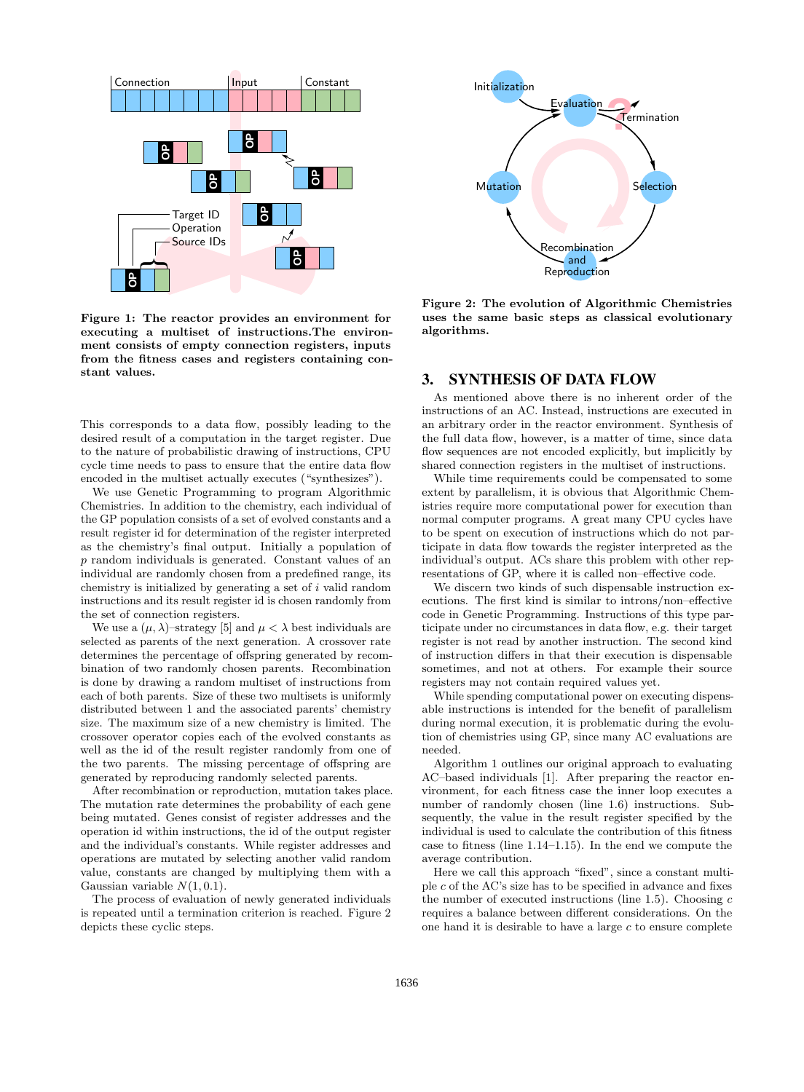

Figure 1: The reactor provides an environment for executing a multiset of instructions.The environment consists of empty connection registers, inputs from the fitness cases and registers containing constant values.

This corresponds to a data flow, possibly leading to the desired result of a computation in the target register. Due to the nature of probabilistic drawing of instructions, CPU cycle time needs to pass to ensure that the entire data flow encoded in the multiset actually executes ("synthesizes").

We use Genetic Programming to program Algorithmic Chemistries. In addition to the chemistry, each individual of the GP population consists of a set of evolved constants and a result register id for determination of the register interpreted as the chemistry's final output. Initially a population of p random individuals is generated. Constant values of an individual are randomly chosen from a predefined range, its chemistry is initialized by generating a set of  $i$  valid random instructions and its result register id is chosen randomly from the set of connection registers.

We use a  $(\mu, \lambda)$ -strategy [5] and  $\mu < \lambda$  best individuals are selected as parents of the next generation. A crossover rate determines the percentage of offspring generated by recombination of two randomly chosen parents. Recombination is done by drawing a random multiset of instructions from each of both parents. Size of these two multisets is uniformly distributed between 1 and the associated parents' chemistry size. The maximum size of a new chemistry is limited. The crossover operator copies each of the evolved constants as well as the id of the result register randomly from one of the two parents. The missing percentage of offspring are generated by reproducing randomly selected parents.

After recombination or reproduction, mutation takes place. The mutation rate determines the probability of each gene being mutated. Genes consist of register addresses and the operation id within instructions, the id of the output register and the individual's constants. While register addresses and operations are mutated by selecting another valid random value, constants are changed by multiplying them with a Gaussian variable  $N(1, 0.1)$ .

The process of evaluation of newly generated individuals is repeated until a termination criterion is reached. Figure 2



Figure 2: The evolution of Algorithmic Chemistries uses the same basic steps as classical evolutionary algorithms.

### 3. SYNTHESIS OF DATA FLOW

As mentioned above there is no inherent order of the instructions of an AC. Instead, instructions are executed in an arbitrary order in the reactor environment. Synthesis of the full data flow, however, is a matter of time, since data flow sequences are not encoded explicitly, but implicitly by shared connection registers in the multiset of instructions.

While time requirements could be compensated to some extent by parallelism, it is obvious that Algorithmic Chemistries require more computational power for execution than normal computer programs. A great many CPU cycles have to be spent on execution of instructions which do not participate in data flow towards the register interpreted as the individual's output. ACs share this problem with other representations of GP, where it is called non–effective code.

We discern two kinds of such dispensable instruction executions. The first kind is similar to introns/non–effective code in Genetic Programming. Instructions of this type participate under no circumstances in data flow, e.g. their target register is not read by another instruction. The second kind of instruction differs in that their execution is dispensable sometimes, and not at others. For example their source registers may not contain required values yet.

While spending computational power on executing dispensable instructions is intended for the benefit of parallelism during normal execution, it is problematic during the evolution of chemistries using GP, since many AC evaluations are needed.

Algorithm 1 outlines our original approach to evaluating AC–based individuals [1]. After preparing the reactor environment, for each fitness case the inner loop executes a number of randomly chosen (line 1.6) instructions. Subsequently, the value in the result register specified by the individual is used to calculate the contribution of this fitness case to fitness (line 1.14–1.15). In the end we compute the average contribution.

Here we call this approach "fixed", since a constant multiple c of the AC's size has to be specified in advance and fixes the number of executed instructions (line 1.5). Choosing  $c$ requires a balance between different considerations. On the one hand it is desirable to have a large  $c$  to ensure complete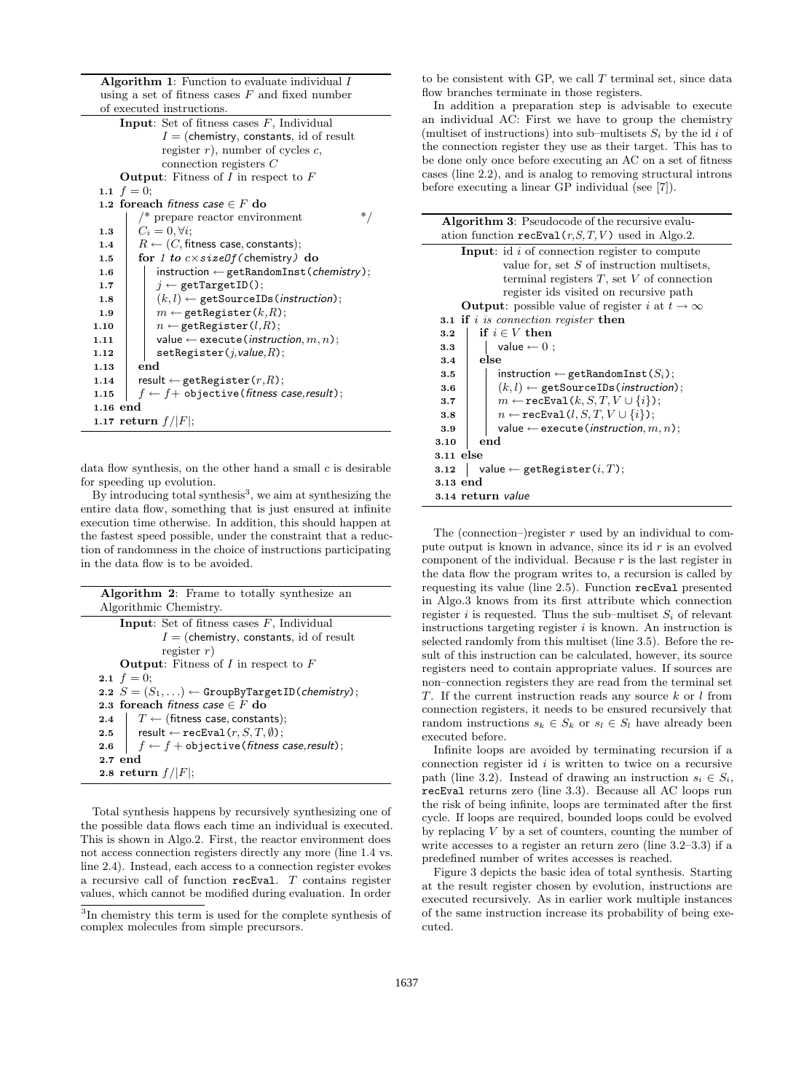Algorithm 1: Function to evaluate individual I using a set of fitness cases  $F$  and fixed number of executed instructions.

| <b>Input:</b> Set of fitness cases $F$ , Individual              |  |  |  |  |  |  |
|------------------------------------------------------------------|--|--|--|--|--|--|
| $I = (chemistry, constants, id of result)$                       |  |  |  |  |  |  |
| register $r$ ), number of cycles $c$ ,                           |  |  |  |  |  |  |
| connection registers $C$                                         |  |  |  |  |  |  |
| <b>Output:</b> Fitness of I in respect to $F$                    |  |  |  |  |  |  |
| 1.1 $f = 0$ ;                                                    |  |  |  |  |  |  |
| 1.2 foreach fitness case $\in F$ do                              |  |  |  |  |  |  |
| $\prime^*$ prepare reactor environment<br>∗                      |  |  |  |  |  |  |
| $C_i = 0, \forall i;$<br>1.3                                     |  |  |  |  |  |  |
| $R \leftarrow (C,$ fitness case, constants);<br>1.4              |  |  |  |  |  |  |
| for 1 to $c \times sizeOf$ (chemistry) do<br>1.5                 |  |  |  |  |  |  |
| $instruction \leftarrow getRandomInst(chemistry);$<br>1.6        |  |  |  |  |  |  |
| $i \leftarrow$ getTargetID();<br>1.7                             |  |  |  |  |  |  |
| $(k, l) \leftarrow$ getSourceIDs (instruction);<br>1.8           |  |  |  |  |  |  |
| $m \leftarrow$ getRegister( $k, R$ );<br>1.9                     |  |  |  |  |  |  |
| $n \leftarrow$ getRegister( $l, R$ );<br>1.10                    |  |  |  |  |  |  |
| value $\leftarrow$ execute ( <i>instruction</i> , m, n);<br>1.11 |  |  |  |  |  |  |
| setRegister(j, value, R);<br>1.12                                |  |  |  |  |  |  |
| end<br>1.13                                                      |  |  |  |  |  |  |
| $result \leftarrow getRegister(r,R);$<br>1.14                    |  |  |  |  |  |  |
| $f \leftarrow f +$ objective(fitness case,result);<br>1.15       |  |  |  |  |  |  |
| $1.16$ end                                                       |  |  |  |  |  |  |
| 1.17 return $f/ F $ ;                                            |  |  |  |  |  |  |

data flow synthesis, on the other hand a small  $c$  is desirable for speeding up evolution.

By introducing total synthesis<sup>3</sup>, we aim at synthesizing the entire data flow, something that is just ensured at infinite execution time otherwise. In addition, this should happen at the fastest speed possible, under the constraint that a reduction of randomness in the choice of instructions participating in the data flow is to be avoided.

| <b>Algorithm 2:</b> Frame to totally synthesize an               |
|------------------------------------------------------------------|
| Algorithmic Chemistry.                                           |
| <b>Input:</b> Set of fitness cases $F$ , Individual              |
| $I =$ (chemistry, constants, id of result                        |
| register $r$ )                                                   |
| <b>Output:</b> Fitness of I in respect to $F$                    |
| <b>2.1</b> $f = 0$ ;                                             |
| 2.2 $S = (S_1, \ldots)$ $\leftarrow$ GroupByTargetID(chemistry); |
| 2.3 foreach fitness case $\in$ F do                              |
| 2.4 $\mid$ $T \leftarrow$ (fitness case, constants);             |
| 2.5   result $\leftarrow$ recEval( $r, S, T, \emptyset$ );       |
| 2.6 $\left  f \leftarrow f +$ objective (fitness case, result);  |
| $2.7$ end                                                        |
| 2.8 return $f/ F $ ;                                             |

Total synthesis happens by recursively synthesizing one of the possible data flows each time an individual is executed. This is shown in Algo.2. First, the reactor environment does not access connection registers directly any more (line 1.4 vs. line 2.4). Instead, each access to a connection register evokes a recursive call of function recEval. T contains register values, which cannot be modified during evaluation. In order

to be consistent with GP, we call  $T$  terminal set, since data flow branches terminate in those registers.

In addition a preparation step is advisable to execute an individual AC: First we have to group the chemistry (multiset of instructions) into sub–multisets  $S_i$  by the id i of the connection register they use as their target. This has to be done only once before executing an AC on a set of fitness cases (line 2.2), and is analog to removing structural introns before executing a linear GP individual (see [7]).

|           | <b>Algorithm 3:</b> Pseudocode of the recursive evalu-         |  |  |  |  |
|-----------|----------------------------------------------------------------|--|--|--|--|
|           | ation function $\texttt{recEval}(r, S, T, V)$ used in Algo.2.  |  |  |  |  |
|           | <b>Input:</b> id $i$ of connection register to compute         |  |  |  |  |
|           | value for, set $S$ of instruction multisets,                   |  |  |  |  |
|           | terminal registers $T$ , set $V$ of connection                 |  |  |  |  |
|           | register ids visited on recursive path                         |  |  |  |  |
|           | <b>Output</b> : possible value of register i at $t \to \infty$ |  |  |  |  |
|           | <b>3.1 if</b> i is connection register then                    |  |  |  |  |
| 3.2       | if $i \in V$ then                                              |  |  |  |  |
| 3.3       | value $\leftarrow 0$ ;                                         |  |  |  |  |
| 3.4       | else                                                           |  |  |  |  |
| 3.5       | instruction $\leftarrow$ getRandomInst( $S_i$ );               |  |  |  |  |
| 3.6       | $(k, l) \leftarrow$ getSourceIDs (instruction);                |  |  |  |  |
| 3.7       | $m \leftarrow$ recEval(k, S, T, $V \cup \{i\}$ );              |  |  |  |  |
| 3.8       | $n \leftarrow$ recEval( $l, S, T, V \cup \{i\}$ );             |  |  |  |  |
| 3.9       | value $\leftarrow$ execute ( <i>instruction</i> , m, n);       |  |  |  |  |
| 3.10      | end                                                            |  |  |  |  |
| 3.11 else |                                                                |  |  |  |  |
| 3.12      | value $\leftarrow$ getRegister( $i, T$ );                      |  |  |  |  |
| 3.13 end  |                                                                |  |  |  |  |
|           | 3.14 return value                                              |  |  |  |  |
|           |                                                                |  |  |  |  |

The (connection–)register  $r$  used by an individual to compute output is known in advance, since its id  $r$  is an evolved component of the individual. Because  $r$  is the last register in the data flow the program writes to, a recursion is called by requesting its value (line 2.5). Function recEval presented in Algo.3 knows from its first attribute which connection register i is requested. Thus the sub–multiset  $S_i$  of relevant instructions targeting register  $i$  is known. An instruction is selected randomly from this multiset (line 3.5). Before the result of this instruction can be calculated, however, its source registers need to contain appropriate values. If sources are non–connection registers they are read from the terminal set T. If the current instruction reads any source  $k$  or  $l$  from connection registers, it needs to be ensured recursively that random instructions  $s_k \in S_k$  or  $s_l \in S_l$  have already been executed before.

Infinite loops are avoided by terminating recursion if a connection register id  $i$  is written to twice on a recursive path (line 3.2). Instead of drawing an instruction  $s_i \in S_i$ , recEval returns zero (line 3.3). Because all AC loops run the risk of being infinite, loops are terminated after the first cycle. If loops are required, bounded loops could be evolved by replacing  $V$  by a set of counters, counting the number of write accesses to a register an return zero (line 3.2–3.3) if a predefined number of writes accesses is reached.

Figure 3 depicts the basic idea of total synthesis. Starting at the result register chosen by evolution, instructions are executed recursively. As in earlier work multiple instances of the same instruction increase its probability of being executed.

<sup>&</sup>lt;sup>3</sup>In chemistry this term is used for the complete synthesis of complex molecules from simple precursors.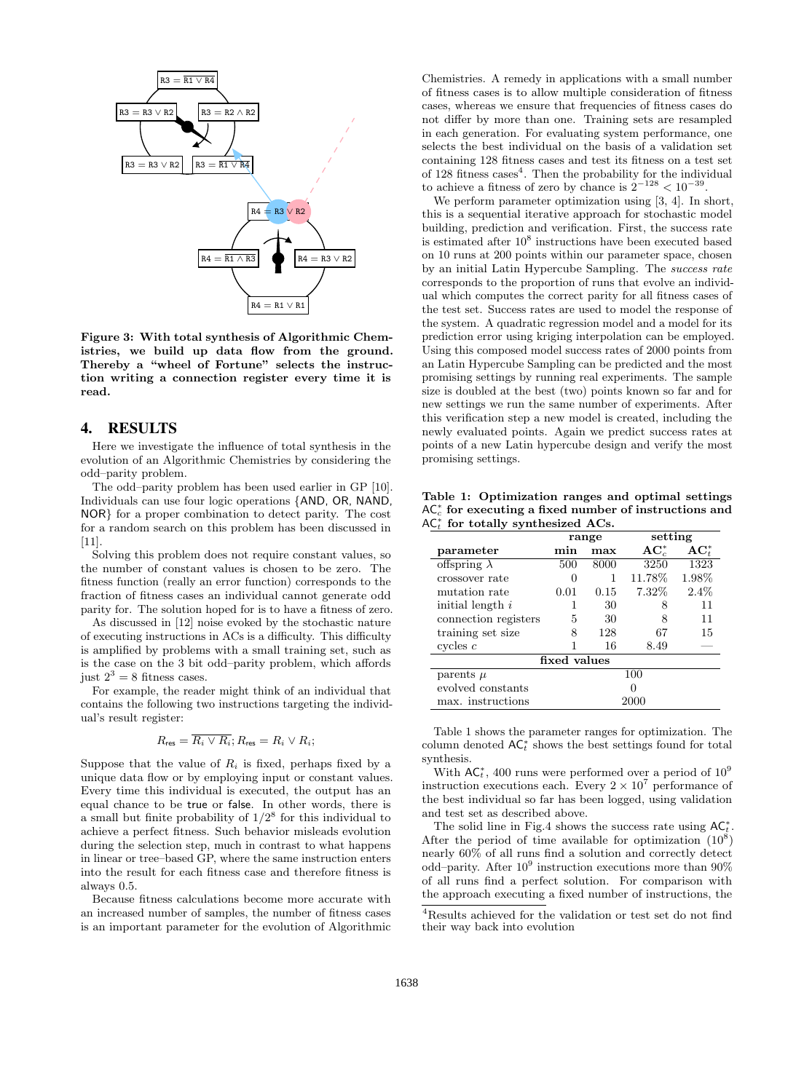

Figure 3: With total synthesis of Algorithmic Chemistries, we build up data flow from the ground. Thereby a "wheel of Fortune" selects the instruction writing a connection register every time it is read.

### 4. RESULTS

Here we investigate the influence of total synthesis in the evolution of an Algorithmic Chemistries by considering the odd–parity problem.

The odd–parity problem has been used earlier in GP [10]. Individuals can use four logic operations {AND, OR, NAND, NOR} for a proper combination to detect parity. The cost for a random search on this problem has been discussed in [11].

Solving this problem does not require constant values, so the number of constant values is chosen to be zero. The fitness function (really an error function) corresponds to the fraction of fitness cases an individual cannot generate odd parity for. The solution hoped for is to have a fitness of zero.

As discussed in [12] noise evoked by the stochastic nature of executing instructions in ACs is a difficulty. This difficulty is amplified by problems with a small training set, such as is the case on the 3 bit odd–parity problem, which affords just  $2^3 = 8$  fitness cases.

For example, the reader might think of an individual that contains the following two instructions targeting the individual's result register:

$$
R_{\text{res}} = \overline{R_i \vee R_i}; R_{\text{res}} = R_i \vee R_i;
$$

Suppose that the value of  $R_i$  is fixed, perhaps fixed by a unique data flow or by employing input or constant values. Every time this individual is executed, the output has an equal chance to be true or false. In other words, there is a small but finite probability of  $1/2^8$  for this individual to achieve a perfect fitness. Such behavior misleads evolution during the selection step, much in contrast to what happens in linear or tree–based GP, where the same instruction enters into the result for each fitness case and therefore fitness is always 0.5.

Because fitness calculations become more accurate with an increased number of samples, the number of fitness cases is an important parameter for the evolution of Algorithmic Chemistries. A remedy in applications with a small number of fitness cases is to allow multiple consideration of fitness cases, whereas we ensure that frequencies of fitness cases do not differ by more than one. Training sets are resampled in each generation. For evaluating system performance, one selects the best individual on the basis of a validation set containing 128 fitness cases and test its fitness on a test set of 128 fitness cases<sup>4</sup>. Then the probability for the individual to achieve a fitness of zero by chance is  $2^{-128} < 10^{-39}$ .

We perform parameter optimization using [3, 4]. In short, this is a sequential iterative approach for stochastic model building, prediction and verification. First, the success rate is estimated after  $10^8$  instructions have been executed based on 10 runs at 200 points within our parameter space, chosen by an initial Latin Hypercube Sampling. The success rate corresponds to the proportion of runs that evolve an individual which computes the correct parity for all fitness cases of the test set. Success rates are used to model the response of the system. A quadratic regression model and a model for its prediction error using kriging interpolation can be employed. Using this composed model success rates of 2000 points from an Latin Hypercube Sampling can be predicted and the most promising settings by running real experiments. The sample size is doubled at the best (two) points known so far and for new settings we run the same number of experiments. After this verification step a new model is created, including the newly evaluated points. Again we predict success rates at points of a new Latin hypercube design and verify the most promising settings.

Table 1: Optimization ranges and optimal settings  $AC_c^*$  for executing a fixed number of instructions and  $AC<sub>t</sub><sup>*</sup>$  for totally synthesized ACs.

|                      | range        |      | setting   |            |  |  |  |
|----------------------|--------------|------|-----------|------------|--|--|--|
| parameter            | min          | max  | $AC_c^*$  | $AC_{t}^*$ |  |  |  |
| offspring $\lambda$  | 500          | 8000 | 3250      | 1323       |  |  |  |
| crossover rate       | $\mathbf{0}$ | 1    | $11.78\%$ | 1.98%      |  |  |  |
| mutation rate        | 0.01         | 0.15 | $7.32\%$  | $2.4\%$    |  |  |  |
| initial length $i$   |              | 30   | 8         | 11         |  |  |  |
| connection registers | 5            | 30   | 8         | 11         |  |  |  |
| training set size    | 8            | 128  | 67        | 15         |  |  |  |
| cycles $c$           |              | 16   | 8.49      |            |  |  |  |
| fixed values         |              |      |           |            |  |  |  |
| parents $\mu$        | 100          |      |           |            |  |  |  |
| evolved constants    | O            |      |           |            |  |  |  |
| max. instructions    | 2000         |      |           |            |  |  |  |

Table 1 shows the parameter ranges for optimization. The column denoted  $AC<sub>t</sub><sup>*</sup>$  shows the best settings found for total synthesis.

With  $AC<sub>t</sub><sup>*</sup>$ , 400 runs were performed over a period of  $10<sup>9</sup>$ instruction executions each. Every  $2 \times 10^7$  performance of the best individual so far has been logged, using validation and test set as described above.

The solid line in Fig.4 shows the success rate using  $\mathsf{AC}_t^*$ . After the period of time available for optimization  $(10^8)$ nearly 60% of all runs find a solution and correctly detect odd–parity. After  $10^9$  instruction executions more than  $90\%$ of all runs find a perfect solution. For comparison with the approach executing a fixed number of instructions, the

 ${}^{4}\mathrm{Results}$  achieved for the validation or test set do not find their way back into evolution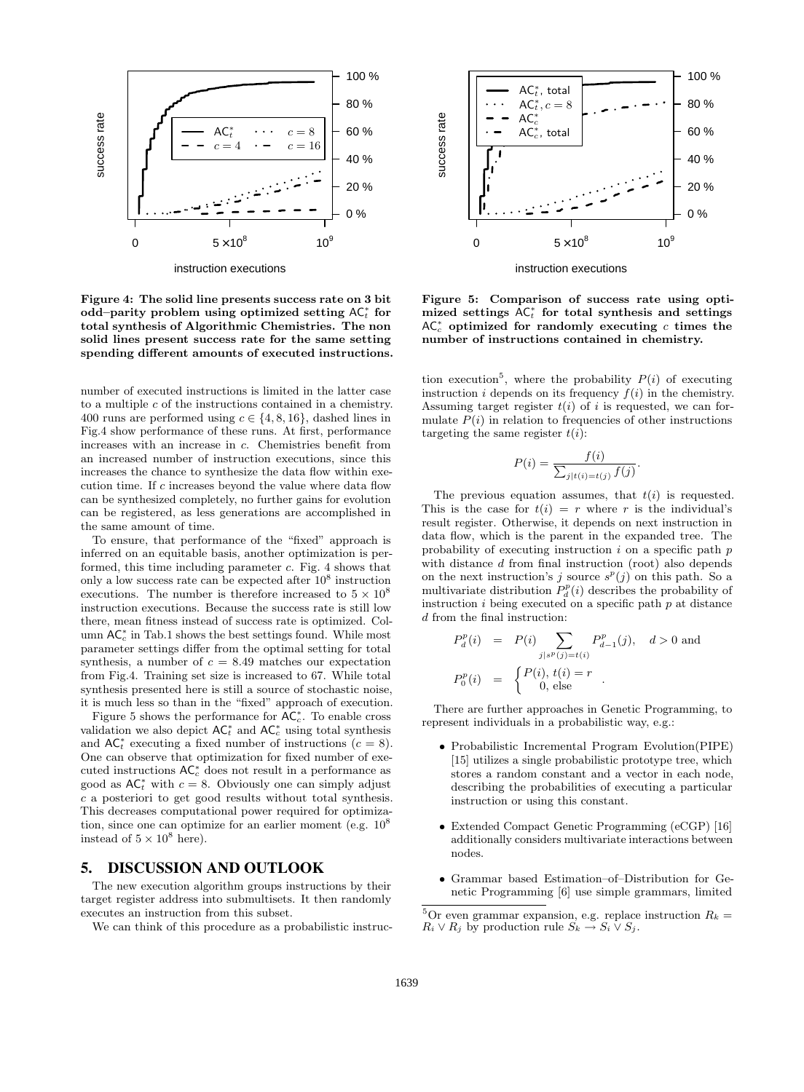

instruction executions

Figure 4: The solid line presents success rate on 3 bit odd–parity problem using optimized setting  $AC_t^*$  for total synthesis of Algorithmic Chemistries. The non solid lines present success rate for the same setting spending different amounts of executed instructions.

number of executed instructions is limited in the latter case to a multiple  $c$  of the instructions contained in a chemistry. 400 runs are performed using  $c \in \{4, 8, 16\}$ , dashed lines in Fig.4 show performance of these runs. At first, performance increases with an increase in c. Chemistries benefit from an increased number of instruction executions, since this increases the chance to synthesize the data flow within execution time. If c increases beyond the value where data flow can be synthesized completely, no further gains for evolution can be registered, as less generations are accomplished in the same amount of time.

To ensure, that performance of the "fixed" approach is inferred on an equitable basis, another optimization is performed, this time including parameter c. Fig. 4 shows that only a low success rate can be expected after  $10^8$  instruction executions. The number is therefore increased to  $5 \times 10^8$ instruction executions. Because the success rate is still low there, mean fitness instead of success rate is optimized. Column  $AC_c^*$  in Tab.1 shows the best settings found. While most parameter settings differ from the optimal setting for total synthesis, a number of  $c = 8.49$  matches our expectation from Fig.4. Training set size is increased to 67. While total synthesis presented here is still a source of stochastic noise, it is much less so than in the "fixed" approach of execution.

Figure 5 shows the performance for  $AC_c^*$ . To enable cross validation we also depict  $AC_t^*$  and  $AC_c^*$  using total synthesis and  $AC<sub>t</sub><sup>*</sup>$  executing a fixed number of instructions  $(c = 8)$ . One can observe that optimization for fixed number of executed instructions  $AC_c^*$  does not result in a performance as good as  $AC_t^*$  with  $c = 8$ . Obviously one can simply adjust c a posteriori to get good results without total synthesis. This decreases computational power required for optimization, since one can optimize for an earlier moment (e.g.  $10^8$ ) instead of  $5\times10^8$  here).

#### 5. DISCUSSION AND OUTLOOK

The new execution algorithm groups instructions by their target register address into submultisets. It then randomly executes an instruction from this subset.

We can think of this procedure as a probabilistic instruc-



Figure 5: Comparison of success rate using optimized settings  $AC<sub>t</sub><sup>*</sup>$  for total synthesis and settings  $AC_c^*$  optimized for randomly executing c times the number of instructions contained in chemistry.

tion execution<sup>5</sup>, where the probability  $P(i)$  of executing instruction i depends on its frequency  $f(i)$  in the chemistry. Assuming target register  $t(i)$  of i is requested, we can formulate  $P(i)$  in relation to frequencies of other instructions targeting the same register  $t(i)$ :

$$
P(i) = \frac{f(i)}{\sum_{j|t(i) = t(j)} f(j)}.
$$

The previous equation assumes, that  $t(i)$  is requested. This is the case for  $t(i) = r$  where r is the individual's result register. Otherwise, it depends on next instruction in data flow, which is the parent in the expanded tree. The probability of executing instruction  $i$  on a specific path  $p$ with distance d from final instruction (root) also depends on the next instruction's j source  $s^p(j)$  on this path. So a multivariate distribution  $P_d^p(i)$  describes the probability of instruction  $i$  being executed on a specific path  $p$  at distance d from the final instruction:

$$
P_d^p(i) = P(i) \sum_{j|s^p(j)=t(i)} P_{d-1}^p(j), \quad d > 0 \text{ and}
$$
  

$$
P_0^p(i) = \begin{cases} P(i), \ t(i) = r \\ 0, \text{ else} \end{cases}
$$

There are further approaches in Genetic Programming, to represent individuals in a probabilistic way, e.g.:

- Probabilistic Incremental Program Evolution(PIPE) [15] utilizes a single probabilistic prototype tree, which stores a random constant and a vector in each node, describing the probabilities of executing a particular instruction or using this constant.
- Extended Compact Genetic Programming (eCGP) [16] additionally considers multivariate interactions between nodes.
- Grammar based Estimation–of–Distribution for Genetic Programming [6] use simple grammars, limited

<sup>&</sup>lt;sup>5</sup>Or even grammar expansion, e.g. replace instruction  $R_k =$  $R_i \vee R_j$  by production rule  $S_k \to S_i \vee S_j$ .